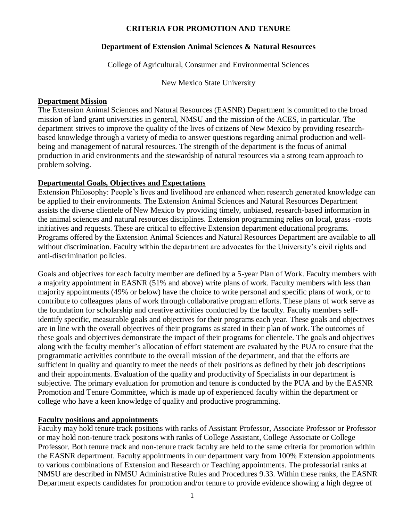### **CRITERIA FOR PROMOTION AND TENURE**

#### **Department of Extension Animal Sciences & Natural Resources**

College of Agricultural, Consumer and Environmental Sciences

New Mexico State University

#### **Department Mission**

The Extension Animal Sciences and Natural Resources (EASNR) Department is committed to the broad mission of land grant universities in general, NMSU and the mission of the ACES, in particular. The department strives to improve the quality of the lives of citizens of New Mexico by providing researchbased knowledge through a variety of media to answer questions regarding animal production and wellbeing and management of natural resources. The strength of the department is the focus of animal production in arid environments and the stewardship of natural resources via a strong team approach to problem solving.

#### **Departmental Goals, Objectives and Expectations**

Extension Philosophy: People's lives and livelihood are enhanced when research generated knowledge can be applied to their environments. The Extension Animal Sciences and Natural Resources Department assists the diverse clientele of New Mexico by providing timely, unbiased, research-based information in the animal sciences and natural resources disciplines. Extension programming relies on local, grass -roots initiatives and requests. These are critical to effective Extension department educational programs. Programs offered by the Extension Animal Sciences and Natural Resources Department are available to all without discrimination. Faculty within the department are advocates for the University's civil rights and anti-discrimination policies.

Goals and objectives for each faculty member are defined by a 5-year Plan of Work. Faculty members with a majority appointment in EASNR (51% and above) write plans of work. Faculty members with less than majority appointments (49% or below) have the choice to write personal and specific plans of work, or to contribute to colleagues plans of work through collaborative program efforts. These plans of work serve as the foundation for scholarship and creative activities conducted by the faculty. Faculty members selfidentify specific, measurable goals and objectives for their programs each year. These goals and objectives are in line with the overall objectives of their programs as stated in their plan of work. The outcomes of these goals and objectives demonstrate the impact of their programs for clientele. The goals and objectives along with the faculty member's allocation of effort statement are evaluated by the PUA to ensure that the programmatic activities contribute to the overall mission of the department, and that the efforts are sufficient in quality and quantity to meet the needs of their positions as defined by their job descriptions and their appointments. Evaluation of the quality and productivity of Specialists in our department is subjective. The primary evaluation for promotion and tenure is conducted by the PUA and by the EASNR Promotion and Tenure Committee, which is made up of experienced faculty within the department or college who have a keen knowledge of quality and productive programming.

#### **Faculty positions and appointments**

Faculty may hold tenure track positions with ranks of Assistant Professor, Associate Professor or Professor or may hold non-tenure track positons with ranks of College Assistant, College Associate or College Professor. Both tenure track and non-tenure track faculty are held to the same criteria for promotion within the EASNR department. Faculty appointments in our department vary from 100% Extension appointments to various combinations of Extension and Research or Teaching appointments. The professorial ranks at NMSU are described in NMSU Administrative Rules and Procedures 9.33. Within these ranks, the EASNR Department expects candidates for promotion and/or tenure to provide evidence showing a high degree of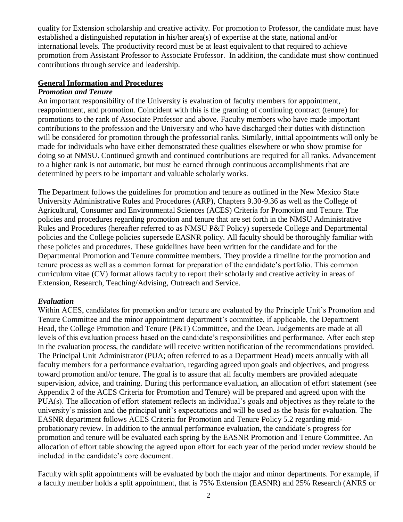quality for Extension scholarship and creative activity. For promotion to Professor, the candidate must have established a distinguished reputation in his/her area(s) of expertise at the state, national and/or international levels. The productivity record must be at least equivalent to that required to achieve promotion from Assistant Professor to Associate Professor. In addition, the candidate must show continued contributions through service and leadership.

### **General Information and Procedures**

#### *Promotion and Tenure*

An important responsibility of the University is evaluation of faculty members for appointment, reappointment, and promotion. Coincident with this is the granting of continuing contract (tenure) for promotions to the rank of Associate Professor and above. Faculty members who have made important contributions to the profession and the University and who have discharged their duties with distinction will be considered for promotion through the professorial ranks. Similarly, initial appointments will only be made for individuals who have either demonstrated these qualities elsewhere or who show promise for doing so at NMSU. Continued growth and continued contributions are required for all ranks. Advancement to a higher rank is not automatic, but must be earned through continuous accomplishments that are determined by peers to be important and valuable scholarly works.

The Department follows the guidelines for promotion and tenure as outlined in the New Mexico State University Administrative Rules and Procedures (ARP), Chapters 9.30-9.36 as well as the College of Agricultural, Consumer and Environmental Sciences (ACES) Criteria for Promotion and Tenure. The policies and procedures regarding promotion and tenure that are set forth in the NMSU Administrative Rules and Procedures (hereafter referred to as NMSU P&T Policy) supersede College and Departmental policies and the College policies supersede EASNR policy. All faculty should be thoroughly familiar with these policies and procedures. These guidelines have been written for the candidate and for the Departmental Promotion and Tenure committee members. They provide a timeline for the promotion and tenure process as well as a common format for preparation of the candidate's portfolio. This common curriculum vitae (CV) format allows faculty to report their scholarly and creative activity in areas of Extension, Research, Teaching/Advising, Outreach and Service.

#### *Evaluation*

Within ACES, candidates for promotion and/or tenure are evaluated by the Principle Unit's Promotion and Tenure Committee and the minor appointment department's committee, if applicable, the Department Head, the College Promotion and Tenure (P&T) Committee, and the Dean. Judgements are made at all levels of this evaluation process based on the candidate's responsibilities and performance. After each step in the evaluation process, the candidate will receive written notification of the recommendations provided. The Principal Unit Administrator (PUA; often referred to as a Department Head) meets annually with all faculty members for a performance evaluation, regarding agreed upon goals and objectives, and progress toward promotion and/or tenure. The goal is to assure that all faculty members are provided adequate supervision, advice, and training. During this performance evaluation, an allocation of effort statement (see Appendix 2 of the ACES Criteria for Promotion and Tenure) will be prepared and agreed upon with the PUA(s). The allocation of effort statement reflects an individual's goals and objectives as they relate to the university's mission and the principal unit's expectations and will be used as the basis for evaluation. The EASNR department follows ACES Criteria for Promotion and Tenure Policy 5.2 regarding midprobationary review. In addition to the annual performance evaluation, the candidate's progress for promotion and tenure will be evaluated each spring by the EASNR Promotion and Tenure Committee. An allocation of effort table showing the agreed upon effort for each year of the period under review should be included in the candidate's core document.

Faculty with split appointments will be evaluated by both the major and minor departments. For example, if a faculty member holds a split appointment, that is 75% Extension (EASNR) and 25% Research (ANRS or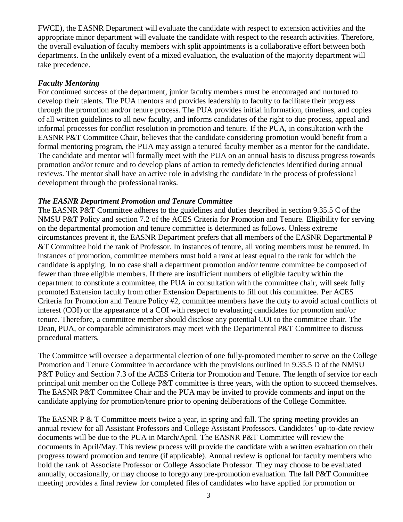FWCE), the EASNR Department will evaluate the candidate with respect to extension activities and the appropriate minor department will evaluate the candidate with respect to the research activities. Therefore, the overall evaluation of faculty members with split appointments is a collaborative effort between both departments. In the unlikely event of a mixed evaluation, the evaluation of the majority department will take precedence.

### *Faculty Mentoring*

For continued success of the department, junior faculty members must be encouraged and nurtured to develop their talents. The PUA mentors and provides leadership to faculty to facilitate their progress through the promotion and/or tenure process. The PUA provides initial information, timelines, and copies of all written guidelines to all new faculty, and informs candidates of the right to due process, appeal and informal processes for conflict resolution in promotion and tenure. If the PUA, in consultation with the EASNR P&T Committee Chair, believes that the candidate considering promotion would benefit from a formal mentoring program, the PUA may assign a tenured faculty member as a mentor for the candidate. The candidate and mentor will formally meet with the PUA on an annual basis to discuss progress towards promotion and/or tenure and to develop plans of action to remedy deficiencies identified during annual reviews. The mentor shall have an active role in advising the candidate in the process of professional development through the professional ranks.

### *The EASNR Department Promotion and Tenure Committee*

The EASNR P&T Committee adheres to the guidelines and duties described in section 9.35.5 C of the NMSU P&T Policy and section 7.2 of the ACES Criteria for Promotion and Tenure. Eligibility for serving on the departmental promotion and tenure committee is determined as follows. Unless extreme circumstances prevent it, the EASNR Department prefers that all members of the EASNR Departmental P &T Committee hold the rank of Professor. In instances of tenure, all voting members must be tenured. In instances of promotion, committee members must hold a rank at least equal to the rank for which the candidate is applying. In no case shall a department promotion and/or tenure committee be composed of fewer than three eligible members. If there are insufficient numbers of eligible faculty within the department to constitute a committee, the PUA in consultation with the committee chair, will seek fully promoted Extension faculty from other Extension Departments to fill out this committee. Per ACES Criteria for Promotion and Tenure Policy #2, committee members have the duty to avoid actual conflicts of interest (COI) or the appearance of a COI with respect to evaluating candidates for promotion and/or tenure. Therefore, a committee member should disclose any potential COI to the committee chair. The Dean, PUA, or comparable administrators may meet with the Departmental P&T Committee to discuss procedural matters.

The Committee will oversee a departmental election of one fully-promoted member to serve on the College Promotion and Tenure Committee in accordance with the provisions outlined in 9.35.5 D of the NMSU P&T Policy and Section 7.3 of the ACES Criteria for Promotion and Tenure. The length of service for each principal unit member on the College P&T committee is three years, with the option to succeed themselves. The EASNR P&T Committee Chair and the PUA may be invited to provide comments and input on the candidate applying for promotion/tenure prior to opening deliberations of the College Committee.

The EASNR P & T Committee meets twice a year, in spring and fall. The spring meeting provides an annual review for all Assistant Professors and College Assistant Professors. Candidates' up-to-date review documents will be due to the PUA in March/April. The EASNR P&T Committee will review the documents in April/May. This review process will provide the candidate with a written evaluation on their progress toward promotion and tenure (if applicable). Annual review is optional for faculty members who hold the rank of Associate Professor or College Associate Professor. They may choose to be evaluated annually, occasionally, or may choose to forego any pre-promotion evaluation. The fall P&T Committee meeting provides a final review for completed files of candidates who have applied for promotion or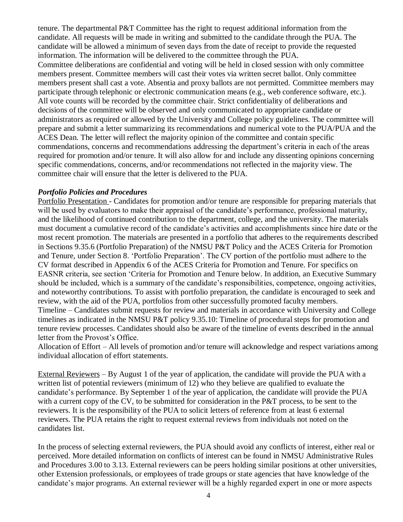tenure. The departmental P&T Committee has the right to request additional information from the candidate. All requests will be made in writing and submitted to the candidate through the PUA. The candidate will be allowed a minimum of seven days from the date of receipt to provide the requested information. The information will be delivered to the committee through the PUA.

Committee deliberations are confidential and voting will be held in closed session with only committee members present. Committee members will cast their votes via written secret ballot. Only committee members present shall cast a vote. Absentia and proxy ballots are not permitted. Committee members may participate through telephonic or electronic communication means (e.g., web conference software, etc.). All vote counts will be recorded by the committee chair. Strict confidentiality of deliberations and decisions of the committee will be observed and only communicated to appropriate candidate or administrators as required or allowed by the University and College policy guidelines. The committee will prepare and submit a letter summarizing its recommendations and numerical vote to the PUA/PUA and the ACES Dean. The letter will reflect the majority opinion of the committee and contain specific commendations, concerns and recommendations addressing the department's criteria in each of the areas required for promotion and/or tenure. It will also allow for and include any dissenting opinions concerning specific commendations, concerns, and/or recommendations not reflected in the majority view. The committee chair will ensure that the letter is delivered to the PUA.

### *Portfolio Policies and Procedures*

Portfolio Presentation - Candidates for promotion and/or tenure are responsible for preparing materials that will be used by evaluators to make their appraisal of the candidate's performance, professional maturity, and the likelihood of continued contribution to the department, college, and the university. The materials must document a cumulative record of the candidate's activities and accomplishments since hire date or the most recent promotion. The materials are presented in a portfolio that adheres to the requirements described in Sections 9.35.6 (Portfolio Preparation) of the NMSU P&T Policy and the ACES Criteria for Promotion and Tenure, under Section 8. 'Portfolio Preparation'. The CV portion of the portfolio must adhere to the CV format described in Appendix 6 of the ACES Criteria for Promotion and Tenure. For specifics on EASNR criteria, see section 'Criteria for Promotion and Tenure below. In addition, an Executive Summary should be included, which is a summary of the candidate's responsibilities, competence, ongoing activities, and noteworthy contributions. To assist with portfolio preparation, the candidate is encouraged to seek and review, with the aid of the PUA, portfolios from other successfully promoted faculty members. Timeline – Candidates submit requests for review and materials in accordance with University and College timelines as indicated in the NMSU P&T policy 9.35.10: Timeline of procedural steps for promotion and tenure review processes. Candidates should also be aware of the timeline of events described in the annual letter from the Provost's Office.

Allocation of Effort – All levels of promotion and/or tenure will acknowledge and respect variations among individual allocation of effort statements.

External Reviewers – By August 1 of the year of application, the candidate will provide the PUA with a written list of potential reviewers (minimum of 12) who they believe are qualified to evaluate the candidate's performance. By September 1 of the year of application, the candidate will provide the PUA with a current copy of the CV, to be submitted for consideration in the P&T process, to be sent to the reviewers. It is the responsibility of the PUA to solicit letters of reference from at least 6 external reviewers. The PUA retains the right to request external reviews from individuals not noted on the candidates list.

In the process of selecting external reviewers, the PUA should avoid any conflicts of interest, either real or perceived. More detailed information on conflicts of interest can be found in NMSU Administrative Rules and Procedures 3.00 to 3.13. External reviewers can be peers holding similar positions at other universities, other Extension professionals, or employees of trade groups or state agencies that have knowledge of the candidate's major programs. An external reviewer will be a highly regarded expert in one or more aspects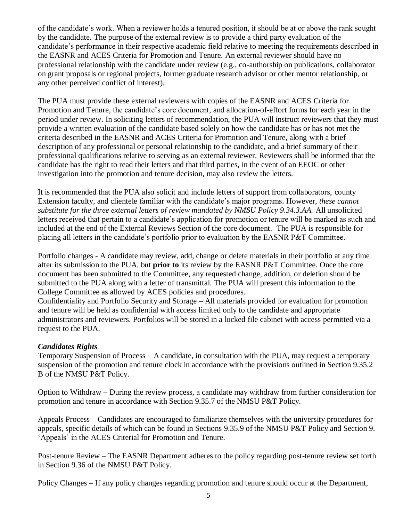of the candidate's work. When a reviewer holds a tenured position, it should be at or above the rank sought by the candidate. The purpose of the external review is to provide a third party evaluation of the candidate's performance in their respective academic field relative to meeting the requirements described in the EASNR and ACES Criteria for Promotion and Tenure. An external reviewer should have no professional relationship with the candidate under review (e.g., co-authorship on publications, collaborator on grant proposals or regional projects, former graduate research advisor or other mentor relationship, or any other perceived conflict of interest).

The PUA must provide these external reviewers with copies of the EASNR and ACES Criteria for Promotion and Tenure, the candidate's core document, and allocation-of-effort forms for each year in the period under review. In soliciting letters of recommendation, the PUA will instruct reviewers that they must provide a written evaluation of the candidate based solely on how the candidate has or has not met the criteria described in the EASNR and ACES Criteria for Promotion and Tenure, along with a brief description of any professional or personal relationship to the candidate, and a brief summary of their professional qualifications relative to serving as an external reviewer. Reviewers shall be informed that the candidate has the right to read their letters and that third parties, in the event of an EEOC or other investigation into the promotion and tenure decision, may also review the letters.

It is recommended that the PUA also solicit and include letters of support from collaborators, county Extension faculty, and clientele familiar with the candidate's major programs. However, *these cannot substitute for the three external letters of review mandated by NMSU Policy 9.34.3.AA.* All unsolicited letters received that pertain to a candidate's application for promotion or tenure will be marked as such and included at the end of the External Reviews Section of the core document. The PUA is responsible for placing all letters in the candidate's portfolio prior to evaluation by the EASNR P&T Committee.

Portfolio changes - A candidate may review, add, change or delete materials in their portfolio at any time after its submission to the PUA, but **prior to** its review by the EASNR P&T Committee. Once the core document has been submitted to the Committee, any requested change, addition, or deletion should be submitted to the PUA along with a letter of transmittal. The PUA will present this information to the College Committee as allowed by ACES policies and procedures.

Confidentiality and Portfolio Security and Storage – All materials provided for evaluation for promotion and tenure will be held as confidential with access limited only to the candidate and appropriate administrators and reviewers. Portfolios will be stored in a locked file cabinet with access permitted via a request to the PUA.

### *Candidates Rights*

Temporary Suspension of Process – A candidate, in consultation with the PUA, may request a temporary suspension of the promotion and tenure clock in accordance with the provisions outlined in Section 9.35.2 B of the NMSU P&T Policy.

Option to Withdraw – During the review process, a candidate may withdraw from further consideration for promotion and tenure in accordance with Section 9.35.7 of the NMSU P&T Policy.

Appeals Process – Candidates are encouraged to familiarize themselves with the university procedures for appeals, specific details of which can be found in Sections 9.35.9 of the NMSU P&T Policy and Section 9. 'Appeals' in the ACES Criterial for Promotion and Tenure.

Post-tenure Review – The EASNR Department adheres to the policy regarding post-tenure review set forth in Section 9.36 of the NMSU P&T Policy.

Policy Changes – If any policy changes regarding promotion and tenure should occur at the Department,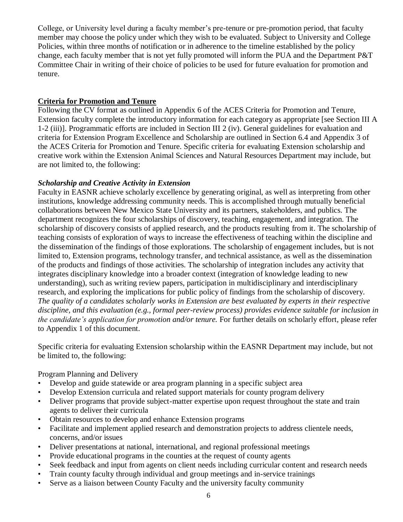College, or University level during a faculty member's pre-tenure or pre-promotion period, that faculty member may choose the policy under which they wish to be evaluated. Subject to University and College Policies, within three months of notification or in adherence to the timeline established by the policy change, each faculty member that is not yet fully promoted will inform the PUA and the Department P&T Committee Chair in writing of their choice of policies to be used for future evaluation for promotion and tenure.

### **Criteria for Promotion and Tenure**

Following the CV format as outlined in Appendix 6 of the ACES Criteria for Promotion and Tenure, Extension faculty complete the introductory information for each category as appropriate [see Section III A 1-2 (iii)]. Programmatic efforts are included in Section III 2 (iv). General guidelines for evaluation and criteria for Extension Program Excellence and Scholarship are outlined in Section 6.4 and Appendix 3 of the ACES Criteria for Promotion and Tenure. Specific criteria for evaluating Extension scholarship and creative work within the Extension Animal Sciences and Natural Resources Department may include, but are not limited to, the following:

### *Scholarship and Creative Activity in Extension*

Faculty in EASNR achieve scholarly excellence by generating original, as well as interpreting from other institutions, knowledge addressing community needs. This is accomplished through mutually beneficial collaborations between New Mexico State University and its partners, stakeholders, and publics. The department recognizes the four scholarships of discovery, teaching, engagement, and integration. The scholarship of discovery consists of applied research, and the products resulting from it. The scholarship of teaching consists of exploration of ways to increase the effectiveness of teaching within the discipline and the dissemination of the findings of those explorations. The scholarship of engagement includes, but is not limited to, Extension programs, technology transfer, and technical assistance, as well as the dissemination of the products and findings of those activities. The scholarship of integration includes any activity that integrates disciplinary knowledge into a broader context (integration of knowledge leading to new understanding), such as writing review papers, participation in multidisciplinary and interdisciplinary research, and exploring the implications for public policy of findings from the scholarship of discovery. *The quality of a candidates scholarly works in Extension are best evaluated by experts in their respective discipline, and this evaluation (e.g., formal peer-review process) provides evidence suitable for inclusion in the candidate's application for promotion and/or tenure.* For further details on scholarly effort, please refer to Appendix 1 of this document.

Specific criteria for evaluating Extension scholarship within the EASNR Department may include, but not be limited to, the following:

Program Planning and Delivery

- Develop and guide statewide or area program planning in a specific subject area
- Develop Extension curricula and related support materials for county program delivery
- Deliver programs that provide subject-matter expertise upon request throughout the state and train agents to deliver their curricula
- Obtain resources to develop and enhance Extension programs
- Facilitate and implement applied research and demonstration projects to address clientele needs, concerns, and/or issues
- Deliver presentations at national, international, and regional professional meetings
- Provide educational programs in the counties at the request of county agents
- Seek feedback and input from agents on client needs including curricular content and research needs
- Train county faculty through individual and group meetings and in-service trainings
- Serve as a liaison between County Faculty and the university faculty community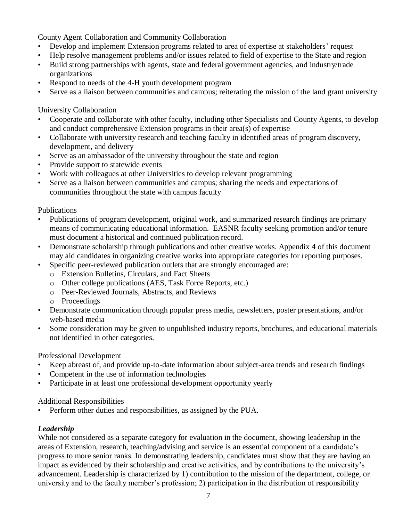County Agent Collaboration and Community Collaboration

- Develop and implement Extension programs related to area of expertise at stakeholders' request
- Help resolve management problems and/or issues related to field of expertise to the State and region
- Build strong partnerships with agents, state and federal government agencies, and industry/trade organizations
- Respond to needs of the 4-H youth development program
- Serve as a liaison between communities and campus; reiterating the mission of the land grant university

University Collaboration

- Cooperate and collaborate with other faculty, including other Specialists and County Agents, to develop and conduct comprehensive Extension programs in their area(s) of expertise
- Collaborate with university research and teaching faculty in identified areas of program discovery, development, and delivery
- Serve as an ambassador of the university throughout the state and region
- Provide support to statewide events
- Work with colleagues at other Universities to develop relevant programming
- Serve as a liaison between communities and campus; sharing the needs and expectations of communities throughout the state with campus faculty

Publications

- Publications of program development, original work, and summarized research findings are primary means of communicating educational information. EASNR faculty seeking promotion and/or tenure must document a historical and continued publication record.
- Demonstrate scholarship through publications and other creative works. Appendix 4 of this document may aid candidates in organizing creative works into appropriate categories for reporting purposes.
- Specific peer-reviewed publication outlets that are strongly encouraged are:
	- o Extension Bulletins, Circulars, and Fact Sheets
	- o Other college publications (AES, Task Force Reports, etc.)
	- o Peer-Reviewed Journals, Abstracts, and Reviews
	- o Proceedings
- Demonstrate communication through popular press media, newsletters, poster presentations, and/or web-based media
- Some consideration may be given to unpublished industry reports, brochures, and educational materials not identified in other categories.

Professional Development

- Keep abreast of, and provide up-to-date information about subject-area trends and research findings
- Competent in the use of information technologies
- Participate in at least one professional development opportunity yearly

#### Additional Responsibilities

• Perform other duties and responsibilities, as assigned by the PUA.

### *Leadership*

While not considered as a separate category for evaluation in the document, showing leadership in the areas of Extension, research, teaching/advising and service is an essential component of a candidate's progress to more senior ranks. In demonstrating leadership, candidates must show that they are having an impact as evidenced by their scholarship and creative activities, and by contributions to the university's advancement. Leadership is characterized by 1) contribution to the mission of the department, college, or university and to the faculty member's profession; 2) participation in the distribution of responsibility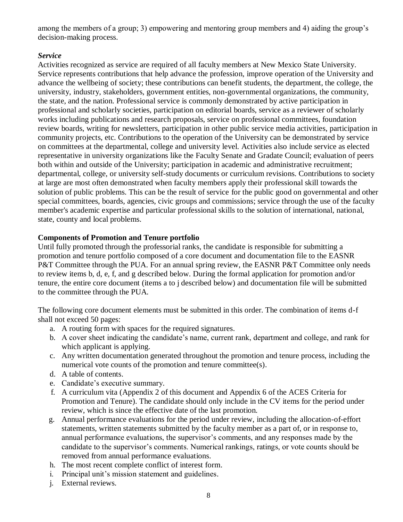among the members of a group; 3) empowering and mentoring group members and 4) aiding the group's decision-making process.

### *Service*

Activities recognized as service are required of all faculty members at New Mexico State University. Service represents contributions that help advance the profession, improve operation of the University and advance the wellbeing of society; these contributions can benefit students, the department, the college, the university, industry, stakeholders, government entities, non-governmental organizations, the community, the state, and the nation. Professional service is commonly demonstrated by active participation in professional and scholarly societies, participation on editorial boards, service as a reviewer of scholarly works including publications and research proposals, service on professional committees, foundation review boards, writing for newsletters, participation in other public service media activities, participation in community projects, etc. Contributions to the operation of the University can be demonstrated by service on committees at the departmental, college and university level. Activities also include service as elected representative in university organizations like the Faculty Senate and Gradate Council; evaluation of peers both within and outside of the University; participation in academic and administrative recruitment; departmental, college, or university self-study documents or curriculum revisions. Contributions to society at large are most often demonstrated when faculty members apply their professional skill towards the solution of public problems. This can be the result of service for the public good on governmental and other special committees, boards, agencies, civic groups and commissions; service through the use of the faculty member's academic expertise and particular professional skills to the solution of international, national, state, county and local problems.

## **Components of Promotion and Tenure portfolio**

Until fully promoted through the professorial ranks, the candidate is responsible for submitting a promotion and tenure portfolio composed of a core document and documentation file to the EASNR P&T Committee through the PUA. For an annual spring review, the EASNR P&T Committee only needs to review items b, d, e, f, and g described below. During the formal application for promotion and/or tenure, the entire core document (items a to j described below) and documentation file will be submitted to the committee through the PUA.

The following core document elements must be submitted in this order. The combination of items d-f shall not exceed 50 pages:

- a. A routing form with spaces for the required signatures.
- b. A cover sheet indicating the candidate's name, current rank, department and college, and rank for which applicant is applying.
- c. Any written documentation generated throughout the promotion and tenure process, including the numerical vote counts of the promotion and tenure committee(s).
- d. A table of contents.
- e. Candidate's executive summary.
- f. A curriculum vita (Appendix 2 of this document and Appendix 6 of the ACES Criteria for Promotion and Tenure). The candidate should only include in the CV items for the period under review, which is since the effective date of the last promotion.
- g. Annual performance evaluations for the period under review, including the allocation-of-effort statements, written statements submitted by the faculty member as a part of, or in response to, annual performance evaluations, the supervisor's comments, and any responses made by the candidate to the supervisor's comments. Numerical rankings, ratings, or vote counts should be removed from annual performance evaluations.
- h. The most recent complete conflict of interest form.
- i. Principal unit's mission statement and guidelines.
- j. External reviews.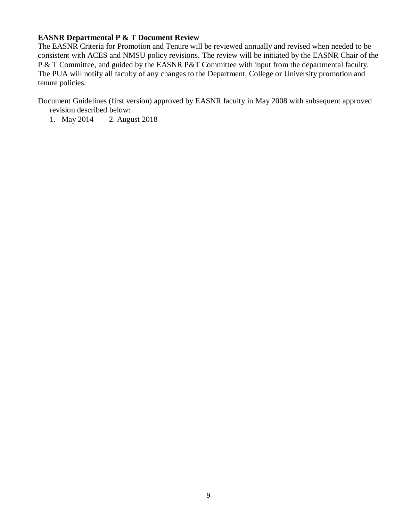#### **EASNR Departmental P & T Document Review**

The EASNR Criteria for Promotion and Tenure will be reviewed annually and revised when needed to be consistent with ACES and NMSU policy revisions. The review will be initiated by the EASNR Chair of the P & T Committee, and guided by the EASNR P&T Committee with input from the departmental faculty. The PUA will notify all faculty of any changes to the Department, College or University promotion and tenure policies.

Document Guidelines (first version) approved by EASNR faculty in May 2008 with subsequent approved revision described below:

1. May 2014 2. August 2018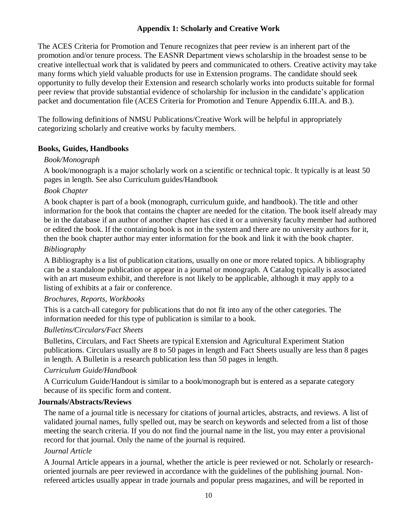## **Appendix 1: Scholarly and Creative Work**

The ACES Criteria for Promotion and Tenure recognizes that peer review is an inherent part of the promotion and/or tenure process. The EASNR Department views scholarship in the broadest sense to be creative intellectual work that is validated by peers and communicated to others. Creative activity may take many forms which yield valuable products for use in Extension programs. The candidate should seek opportunity to fully develop their Extension and research scholarly works into products suitable for formal peer review that provide substantial evidence of scholarship for inclusion in the candidate's application packet and documentation file (ACES Criteria for Promotion and Tenure Appendix 6.III.A. and B.).

The following definitions of NMSU Publications/Creative Work will be helpful in appropriately categorizing scholarly and creative works by faculty members.

### **Books, Guides, Handbooks**

### *Book/Monograph*

A book/monograph is a major scholarly work on a scientific or technical topic. It typically is at least 50 pages in length. See also Curriculum guides/Handbook

### *Book Chapter*

A book chapter is part of a book (monograph, curriculum guide, and handbook). The title and other information for the book that contains the chapter are needed for the citation. The book itself already may be in the database if an author of another chapter has cited it or a university faculty member had authored or edited the book. If the containing book is not in the system and there are no university authors for it, then the book chapter author may enter information for the book and link it with the book chapter.

### *Bibliography*

A Bibliography is a list of publication citations, usually on one or more related topics. A bibliography can be a standalone publication or appear in a journal or monograph. A Catalog typically is associated with an art museum exhibit, and therefore is not likely to be applicable, although it may apply to a listing of exhibits at a fair or conference.

#### *Brochures, Reports, Workbooks*

This is a catch-all category for publications that do not fit into any of the other categories. The information needed for this type of publication is similar to a book.

#### *Bulletins/Circulars/Fact Sheets*

Bulletins, Circulars, and Fact Sheets are typical Extension and Agricultural Experiment Station publications. Circulars usually are 8 to 50 pages in length and Fact Sheets usually are less than 8 pages in length. A Bulletin is a research publication less than 50 pages in length.

#### *Curriculum Guide/Handbook*

A Curriculum Guide/Handout is similar to a book/monograph but is entered as a separate category because of its specific form and content.

#### **Journals/Abstracts/Reviews**

The name of a journal title is necessary for citations of journal articles, abstracts, and reviews. A list of validated journal names, fully spelled out, may be search on keywords and selected from a list of those meeting the search criteria. If you do not find the journal name in the list, you may enter a provisional record for that journal. Only the name of the journal is required.

#### *Journal Article*

A Journal Article appears in a journal, whether the article is peer reviewed or not. Scholarly or researchoriented journals are peer reviewed in accordance with the guidelines of the publishing journal. Nonrefereed articles usually appear in trade journals and popular press magazines, and will be reported in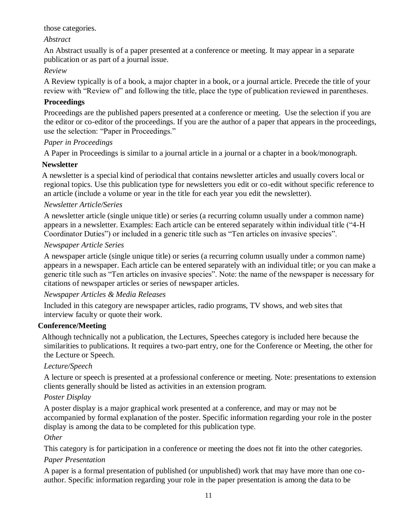### those categories.

## *Abstract*

An Abstract usually is of a paper presented at a conference or meeting. It may appear in a separate publication or as part of a journal issue.

## *Review*

A Review typically is of a book, a major chapter in a book, or a journal article. Precede the title of your review with "Review of" and following the title, place the type of publication reviewed in parentheses.

## **Proceedings**

Proceedings are the published papers presented at a conference or meeting. Use the selection if you are the editor or co-editor of the proceedings. If you are the author of a paper that appears in the proceedings, use the selection: "Paper in Proceedings."

## *Paper in Proceedings*

A Paper in Proceedings is similar to a journal article in a journal or a chapter in a book/monograph.

## **Newsletter**

 A newsletter is a special kind of periodical that contains newsletter articles and usually covers local or regional topics. Use this publication type for newsletters you edit or co-edit without specific reference to an article (include a volume or year in the title for each year you edit the newsletter).

## *Newsletter Article/Series*

A newsletter article (single unique title) or series (a recurring column usually under a common name) appears in a newsletter. Examples: Each article can be entered separately within individual title ("4-H Coordinator Duties") or included in a generic title such as "Ten articles on invasive species".

## *Newspaper Article Series*

A newspaper article (single unique title) or series (a recurring column usually under a common name) appears in a newspaper. Each article can be entered separately with an individual title; or you can make a generic title such as "Ten articles on invasive species". Note: the name of the newspaper is necessary for citations of newspaper articles or series of newspaper articles.

### *Newspaper Articles & Media Releases*

Included in this category are newspaper articles, radio programs, TV shows, and web sites that interview faculty or quote their work.

# **Conference/Meeting**

Although technically not a publication, the Lectures, Speeches category is included here because the similarities to publications. It requires a two-part entry, one for the Conference or Meeting, the other for the Lecture or Speech.

# *Lecture/Speech*

A lecture or speech is presented at a professional conference or meeting. Note: presentations to extension clients generally should be listed as activities in an extension program.

# *Poster Display*

A poster display is a major graphical work presented at a conference, and may or may not be accompanied by formal explanation of the poster. Specific information regarding your role in the poster display is among the data to be completed for this publication type.

### *Other*

This category is for participation in a conference or meeting the does not fit into the other categories.

### *Paper Presentation*

A paper is a formal presentation of published (or unpublished) work that may have more than one coauthor. Specific information regarding your role in the paper presentation is among the data to be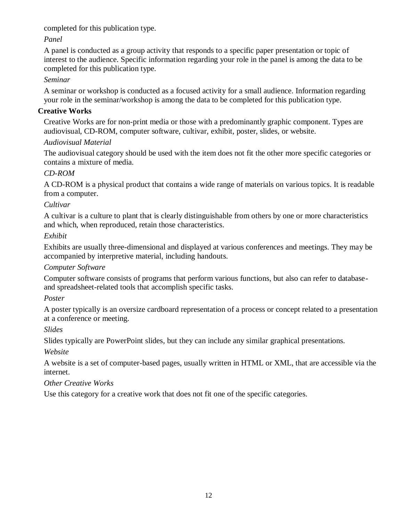completed for this publication type.

# *Panel*

A panel is conducted as a group activity that responds to a specific paper presentation or topic of interest to the audience. Specific information regarding your role in the panel is among the data to be completed for this publication type.

# *Seminar*

A seminar or workshop is conducted as a focused activity for a small audience. Information regarding your role in the seminar/workshop is among the data to be completed for this publication type.

# **Creative Works**

 Creative Works are for non-print media or those with a predominantly graphic component. Types are audiovisual, CD-ROM, computer software, cultivar, exhibit, poster, slides, or website.

# *Audiovisual Material*

The audiovisual category should be used with the item does not fit the other more specific categories or contains a mixture of media.

# *CD-ROM*

A CD-ROM is a physical product that contains a wide range of materials on various topics. It is readable from a computer.

# *Cultivar*

A cultivar is a culture to plant that is clearly distinguishable from others by one or more characteristics and which, when reproduced, retain those characteristics.

# *Exhibit*

Exhibits are usually three-dimensional and displayed at various conferences and meetings. They may be accompanied by interpretive material, including handouts.

# *Computer Software*

Computer software consists of programs that perform various functions, but also can refer to databaseand spreadsheet-related tools that accomplish specific tasks.

# *Poster*

A poster typically is an oversize cardboard representation of a process or concept related to a presentation at a conference or meeting.

# *Slides*

Slides typically are PowerPoint slides, but they can include any similar graphical presentations.

*Website* 

A website is a set of computer-based pages, usually written in HTML or XML, that are accessible via the internet.

# *Other Creative Works*

Use this category for a creative work that does not fit one of the specific categories.